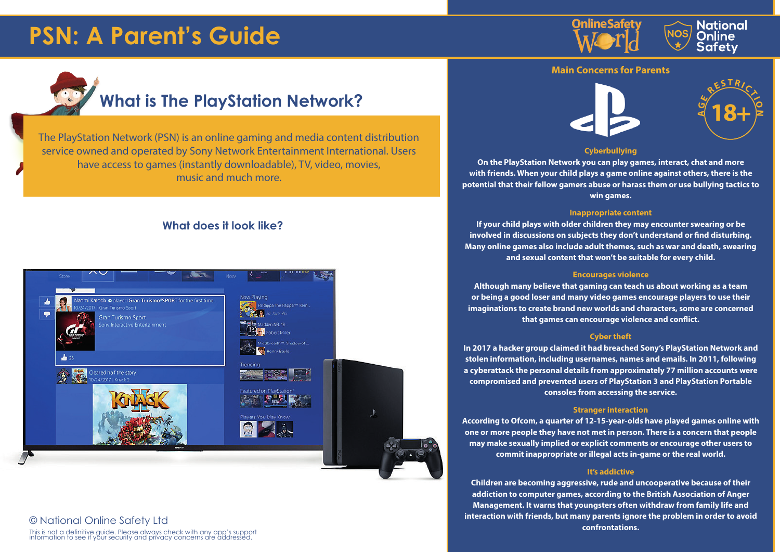## **PSN: A Parent's Guide**





### **Main Concerns for Parents**

**E**

# **What is The PlayStation Network?**

The PlayStation Network (PSN) is an online gaming and media content distribution service owned and operated by Sony Network Entertainment International. Users have access to games (instantly downloadable), TV, video, movies, music and much more.

### **What does it look like?**



### © National Online Safety Ltd

This is not a definitive guide. Please always check with any app's support information to see if your security and privacy concerns are addressed.



### **Cyberbullying**

**On the PlayStation Network you can play games, interact, chat and more with friends. When your child plays a game online against others, there is the potential that their fellow gamers abuse or harass them or use bullying tactics to win games.**

#### **Inappropriate content**

**If your child plays with older children they may encounter swearing or be involved in discussions on subjects they don't understand or find disturbing. Many online games also include adult themes, such as war and death, swearing and sexual content that won't be suitable for every child.**

### **Encourages violence**

**Although many believe that gaming can teach us about working as a team or being a good loser and many video games encourage players to use their imaginations to create brand new worlds and characters, some are concerned that games can encourage violence and conflict.**

### **Cyber theft**

**In 2017 a hacker group claimed it had breached Sony's PlayStation Network and stolen information, including usernames, names and emails. In 2011, following a cyberattack the personal details from approximately 77 million accounts were compromised and prevented users of PlayStation 3 and PlayStation Portable consoles from accessing the service.**

### **Stranger interaction**

**According to Ofcom, a quarter of 12-15-year-olds have played games online with one or more people they have not met in person. There is a concern that people may make sexually implied or explicit comments or encourage other users to commit inappropriate or illegal acts in-game or the real world.**

### **It's addictive**

**Children are becoming aggressive, rude and uncooperative because of their addiction to computer games, according to the British Association of Anger Management. It warns that youngsters often withdraw from family life and interaction with friends, but many parents ignore the problem in order to avoid confrontations.**